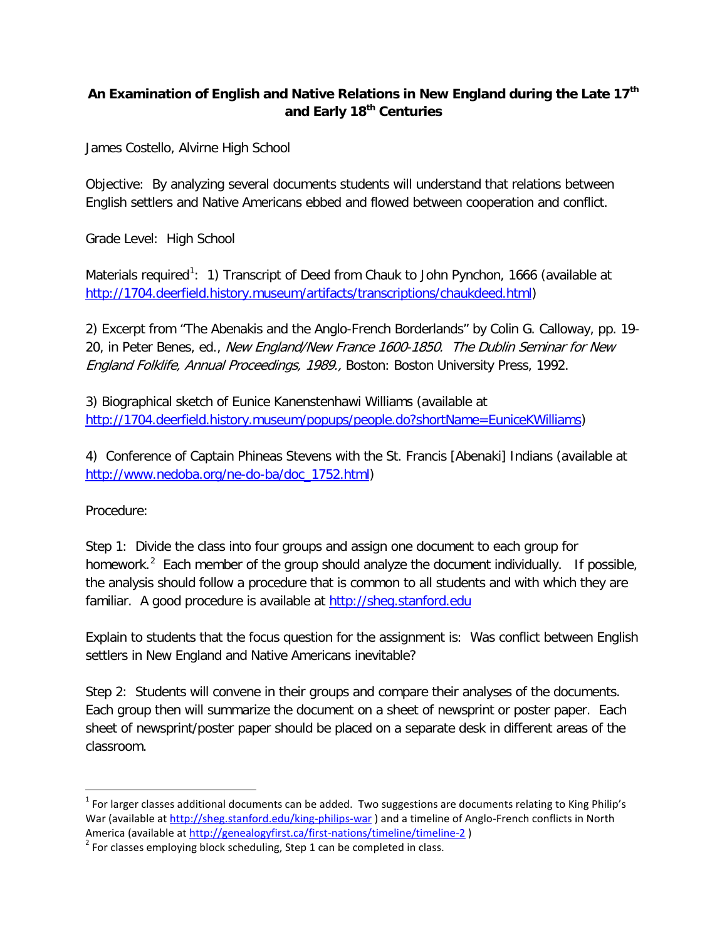## **An Examination of English and Native Relations in New England during the Late 17th and Early 18th Centuries**

James Costello, Alvirne High School

Objective: By analyzing several documents students will understand that relations between English settlers and Native Americans ebbed and flowed between cooperation and conflict.

Grade Level: High School

Materials required<sup>[1](#page-0-0)</sup>: 1) Transcript of Deed from Chauk to John Pynchon, 1666 (available at [http://1704.deerfield.history.museum/artifacts/transcriptions/chaukdeed.html\)](http://1704.deerfield.history.museum/artifacts/transcriptions/chaukdeed.html)

2) Excerpt from "The Abenakis and the Anglo-French Borderlands" by Colin G. Calloway, pp. 19- 20, in Peter Benes, ed., New England/New France 1600-1850. The Dublin Seminar for New England Folklife, Annual Proceedings, 1989., Boston: Boston University Press, 1992.

3) Biographical sketch of Eunice Kanenstenhawi Williams (available at [http://1704.deerfield.history.museum/popups/people.do?shortName=EuniceKWilliams\)](http://1704.deerfield.history.museum/popups/people.do?shortName=EuniceKWilliams)

4) Conference of Captain Phineas Stevens with the St. Francis [Abenaki] Indians (available at [http://www.nedoba.org/ne-do-ba/doc\\_1752.html\)](http://www.nedoba.org/ne-do-ba/doc_1752.html)

Procedure:

Step 1: Divide the class into four groups and assign one document to each group for homework.<sup>[2](#page-0-1)</sup> Each member of the group should analyze the document individually. If possible, the analysis should follow a procedure that is common to all students and with which they are familiar. A good procedure is available at [http://sheg.stanford.edu](http://sheg.stanford.edu/)

Explain to students that the focus question for the assignment is: Was conflict between English settlers in New England and Native Americans inevitable?

Step 2: Students will convene in their groups and compare their analyses of the documents. Each group then will summarize the document on a sheet of newsprint or poster paper. Each sheet of newsprint/poster paper should be placed on a separate desk in different areas of the classroom.

<span id="page-0-0"></span> $1$  For larger classes additional documents can be added. Two suggestions are documents relating to King Philip's War (available at<http://sheg.stanford.edu/king-philips-war>) and a timeline of Anglo-French conflicts in North<br>America (available at http://genealogyfirst.ca/first-nations/timeline/timeline-2)

<span id="page-0-1"></span> $A<sup>2</sup>$  For classes employing block scheduling, Step 1 can be completed in class.